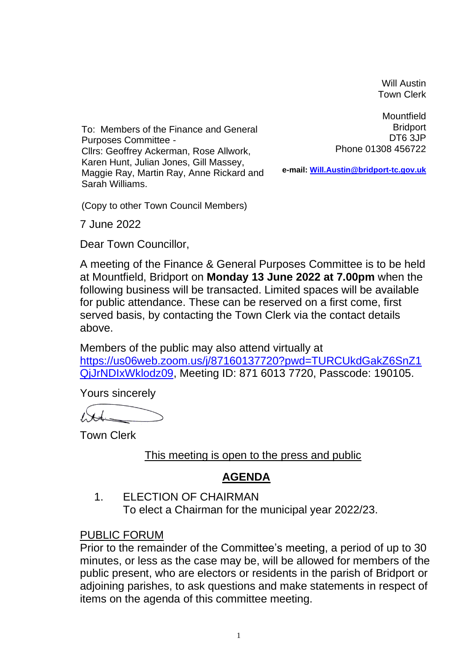Will Austin Town Clerk

To: Members of the Finance and General Purposes Committee - Cllrs: Geoffrey Ackerman, Rose Allwork, Karen Hunt, Julian Jones, Gill Massey, Maggie Ray, Martin Ray, Anne Rickard and Sarah Williams.

**Mountfield Bridport** DT6 3JP Phone 01308 456722

**e-mail: [Will.Austin@bridport-tc.gov.uk](mailto:Will.Austin@bridport-tc.gov.uk)**

(Copy to other Town Council Members)

7 June 2022

Dear Town Councillor,

A meeting of the Finance & General Purposes Committee is to be held at Mountfield, Bridport on **Monday 13 June 2022 at 7.00pm** when the following business will be transacted. Limited spaces will be available for public attendance. These can be reserved on a first come, first served basis, by contacting the Town Clerk via the contact details above.

Members of the public may also attend virtually at [https://us06web.zoom.us/j/87160137720?pwd=TURCUkdGakZ6SnZ1](https://us06web.zoom.us/j/87160137720?pwd=TURCUkdGakZ6SnZ1QjJrNDIxWklodz09) [QjJrNDIxWklodz09,](https://us06web.zoom.us/j/87160137720?pwd=TURCUkdGakZ6SnZ1QjJrNDIxWklodz09) Meeting ID: 871 6013 7720, Passcode: 190105.

Yours sincerely

Town Clerk

This meeting is open to the press and public

## **AGENDA**

1. ELECTION OF CHAIRMAN To elect a Chairman for the municipal year 2022/23.

## PUBLIC FORUM

Prior to the remainder of the Committee's meeting, a period of up to 30 minutes, or less as the case may be, will be allowed for members of the public present, who are electors or residents in the parish of Bridport or adjoining parishes, to ask questions and make statements in respect of items on the agenda of this committee meeting.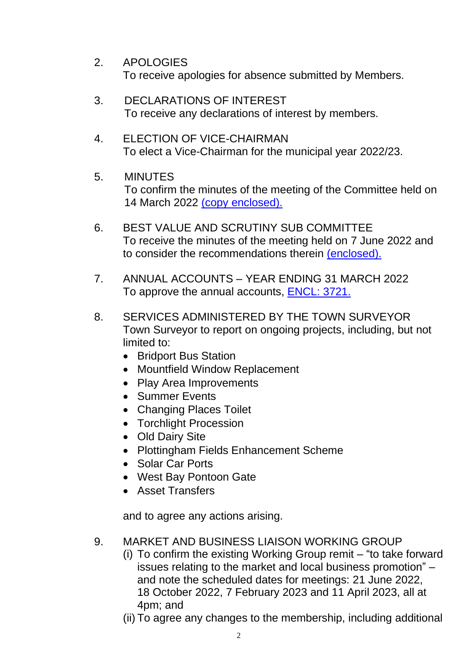- 2. APOLOGIES To receive apologies for absence submitted by Members.
- 3. DECLARATIONS OF INTEREST To receive any declarations of interest by members.
- 4. ELECTION OF VICE-CHAIRMAN To elect a Vice-Chairman for the municipal year 2022/23.
- 5. MINUTES To confirm the minutes of the meeting of the Committee held on 14 March 2022 [\(copy enclosed\).](https://www.bridport-tc.gov.uk/wp-content/uploads/2022/03/M-14-03-22.pdf)
- 6. BEST VALUE AND SCRUTINY SUB COMMITTEE To receive the minutes of the meeting held on 7 June 2022 and to consider the recommendations therein [\(enclosed\).](https://www.bridport-tc.gov.uk/wp-content/uploads/2022/06/M-07-06-22.pdf)
- 7. ANNUAL ACCOUNTS YEAR ENDING 31 MARCH 2022 To approve the annual accounts, [ENCL: 3721.](https://www.bridport-tc.gov.uk/wp-content/uploads/2022/06/13-06-22-Draft-Annual-Accounts-2021-22-ENCL-3721.pdf)
- 8. SERVICES ADMINISTERED BY THE TOWN SURVEYOR Town Surveyor to report on ongoing projects, including, but not limited to:
	- Bridport Bus Station
	- Mountfield Window Replacement
	- Play Area Improvements
	- Summer Events
	- Changing Places Toilet
	- Torchlight Procession
	- Old Dairy Site
	- Plottingham Fields Enhancement Scheme
	- Solar Car Ports
	- West Bay Pontoon Gate
	- Asset Transfers

and to agree any actions arising.

- 9. MARKET AND BUSINESS LIAISON WORKING GROUP
	- (i) To confirm the existing Working Group remit "to take forward issues relating to the market and local business promotion" – and note the scheduled dates for meetings: 21 June 2022, 18 October 2022, 7 February 2023 and 11 April 2023, all at 4pm; and
	- (ii) To agree any changes to the membership, including additional